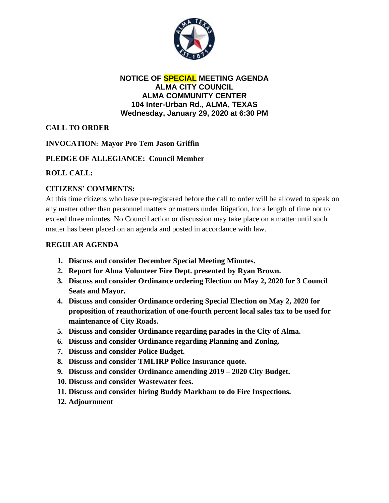

#### **NOTICE OF SPECIAL MEETING AGENDA ALMA CITY COUNCIL ALMA COMMUNITY CENTER 104 Inter-Urban Rd., ALMA, TEXAS Wednesday, January 29, 2020 at 6:30 PM**

# **CALL TO ORDER**

## **INVOCATION: Mayor Pro Tem Jason Griffin**

## **PLEDGE OF ALLEGIANCE: Council Member**

# **ROLL CALL:**

# **CITIZENS' COMMENTS:**

At this time citizens who have pre-registered before the call to order will be allowed to speak on any matter other than personnel matters or matters under litigation, for a length of time not to exceed three minutes. No Council action or discussion may take place on a matter until such matter has been placed on an agenda and posted in accordance with law.

#### **REGULAR AGENDA**

- **1. Discuss and consider December Special Meeting Minutes.**
- **2. Report for Alma Volunteer Fire Dept. presented by Ryan Brown.**
- **3. Discuss and consider Ordinance ordering Election on May 2, 2020 for 3 Council Seats and Mayor.**
- **4. Discuss and consider Ordinance ordering Special Election on May 2, 2020 for proposition of reauthorization of one-fourth percent local sales tax to be used for maintenance of City Roads.**
- **5. Discuss and consider Ordinance regarding parades in the City of Alma.**
- **6. Discuss and consider Ordinance regarding Planning and Zoning.**
- **7. Discuss and consider Police Budget.**
- **8. Discuss and consider TMLIRP Police Insurance quote.**
- **9. Discuss and consider Ordinance amending 2019 – 2020 City Budget.**
- **10. Discuss and consider Wastewater fees.**
- **11. Discuss and consider hiring Buddy Markham to do Fire Inspections.**
- **12. Adjournment**